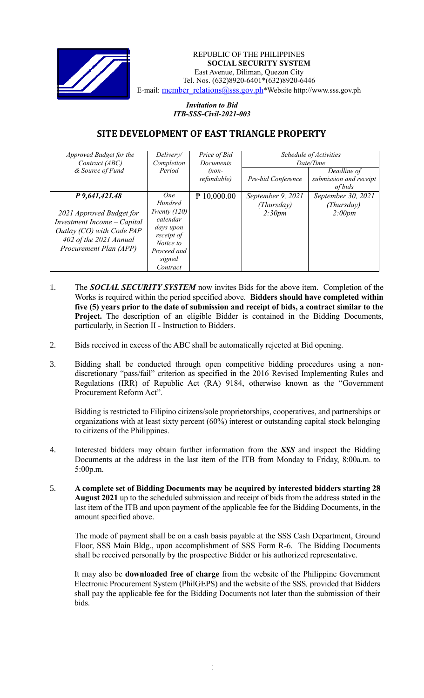

## REPUBLIC OF THE PHILIPPINES **SOCIAL SECURITY SYSTEM** East Avenue, Diliman, Quezon City Tel. Nos. (632)8920-6401\*(632)8920-6446 E-mail: [member\\_relations@sss.gov.ph](mailto:member_relations@sss.gov.ph)\*Website http://www.sss.gov.ph

## *Invitation to Bid ITB-SSS-Civil-2021-003*

## **SITE DEVELOPMENT OF EAST TRIANGLE PROPERTY**

| Approved Budget for the<br>Contract (ABC)                                                                                                                  | Delivery/<br>Completion                                                                                                          | Price of Bid<br><b>Documents</b> | Schedule of Activities<br>Date/Time       |                                                  |
|------------------------------------------------------------------------------------------------------------------------------------------------------------|----------------------------------------------------------------------------------------------------------------------------------|----------------------------------|-------------------------------------------|--------------------------------------------------|
| & Source of Fund                                                                                                                                           | Period                                                                                                                           | $(non-$<br>refundable)           | Pre-bid Conference                        | Deadline of<br>submission and receipt<br>of bids |
| P 9,641,421.48<br>2021 Approved Budget for<br>Investment Income - Capital<br>Outlay (CO) with Code PAP<br>402 of the 2021 Annual<br>Procurement Plan (APP) | One<br><b>Hundred</b><br>Twenty $(120)$<br>calendar<br>days upon<br>receipt of<br>Notice to<br>Proceed and<br>signed<br>Contract | $\sqrt{P}$ 10,000.00             | September 9, 2021<br>(Thursday)<br>2:30pm | September 30, 2021<br>(Thursday)<br>2:00pm       |

- 1. The *SOCIAL SECURITY SYSTEM* now invites Bids for the above item. Completion of the Works is required within the period specified above. **Bidders should have completed within five (5) years prior to the date of submission and receipt of bids, a contract similar to the Project.** The description of an eligible Bidder is contained in the Bidding Documents, particularly, in Section II - Instruction to Bidders.
- 2. Bids received in excess of the ABC shall be automatically rejected at Bid opening.
- 3. Bidding shall be conducted through open competitive bidding procedures using a nondiscretionary "pass/fail" criterion as specified in the 2016 Revised Implementing Rules and Regulations (IRR) of Republic Act (RA) 9184, otherwise known as the "Government Procurement Reform Act".

Bidding is restricted to Filipino citizens/sole proprietorships, cooperatives, and partnerships or organizations with at least sixty percent (60%) interest or outstanding capital stock belonging to citizens of the Philippines.

- 4. Interested bidders may obtain further information from the *SSS* and inspect the Bidding Documents at the address in the last item of the ITB from Monday to Friday, 8:00a.m. to 5:00p.m.
- 5. **A complete set of Bidding Documents may be acquired by interested bidders starting 28 August 2021** up to the scheduled submission and receipt of bids from the address stated in the last item of the ITB and upon payment of the applicable fee for the Bidding Documents, in the amount specified above.

The mode of payment shall be on a cash basis payable at the SSS Cash Department, Ground Floor, SSS Main Bldg., upon accomplishment of SSS Form R-6. The Bidding Documents shall be received personally by the prospective Bidder or his authorized representative.

It may also be **downloaded free of charge** from the website of the Philippine Government Electronic Procurement System (PhilGEPS) and the website of the SSS*,* provided that Bidders shall pay the applicable fee for the Bidding Documents not later than the submission of their bids.

1